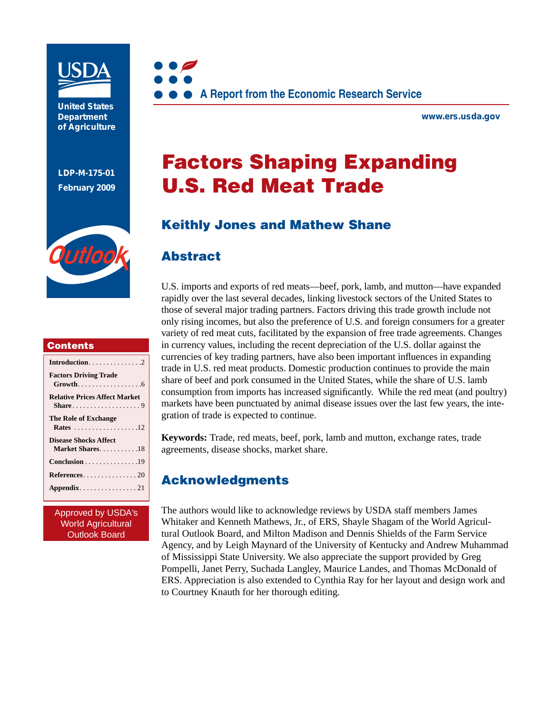

**United States Department of Agriculture** 

**LDP-M-175-01 February 2009**



#### **Contents**

| <b>Factors Driving Trade</b>                                 |
|--------------------------------------------------------------|
|                                                              |
| <b>Relative Prices Affect Market</b>                         |
|                                                              |
| The Role of Exchange                                         |
|                                                              |
| Rates 12                                                     |
| <b>Disease Shocks Affect</b>                                 |
| Market Shares18                                              |
| $Conclusion \dots \dots \dots \dots \dots \dots \dots \dots$ |
| ${References.}\ldots \ldots \ldots \ldots 20$                |
|                                                              |
|                                                              |
|                                                              |

Approved by USDA's World Agricultural Outlook Board



**www.ers.usda.gov** 

# Factors Shaping Expanding U.S. Red Meat Trade

# Keithly Jones and Mathew Shane

### Abstract

U.S. imports and exports of red meats—beef, pork, lamb, and mutton—have expanded rapidly over the last several decades, linking livestock sectors of the United States to those of several major trading partners. Factors driving this trade growth include not only rising incomes, but also the preference of U.S. and foreign consumers for a greater variety of red meat cuts, facilitated by the expansion of free trade agreements. Changes in currency values, including the recent depreciation of the U.S. dollar against the currencies of key trading partners, have also been important influences in expanding trade in U.S. red meat products. Domestic production continues to provide the main share of beef and pork consumed in the United States, while the share of U.S. lamb consumption from imports has increased significantly. While the red meat (and poultry) markets have been punctuated by animal disease issues over the last few years, the integration of trade is expected to continue.

**Keywords:** Trade, red meats, beef, pork, lamb and mutton, exchange rates, trade agreements, disease shocks, market share.

# Acknowledgments

The authors would like to acknowledge reviews by USDA staff members James Whitaker and Kenneth Mathews, Jr., of ERS, Shayle Shagam of the World Agricultural Outlook Board, and Milton Madison and Dennis Shields of the Farm Service Agency, and by Leigh Maynard of the University of Kentucky and Andrew Muhammad of Mississippi State University. We also appreciate the support provided by Greg Pompelli, Janet Perry, Suchada Langley, Maurice Landes, and Thomas McDonald of ERS. Appreciation is also extended to Cynthia Ray for her layout and design work and to Courtney Knauth for her thorough editing.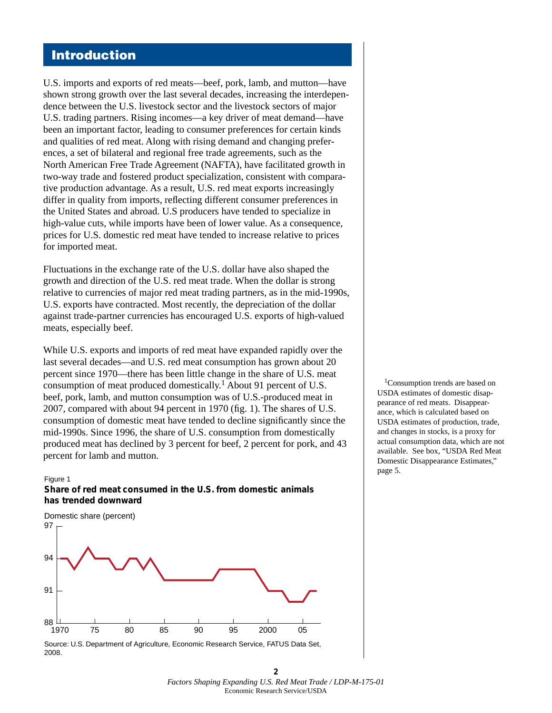### Introduction

U.S. imports and exports of red meats—beef, pork, lamb, and mutton—have shown strong growth over the last several decades, increasing the interdependence between the U.S. livestock sector and the livestock sectors of major U.S. trading partners. Rising incomes—a key driver of meat demand—have been an important factor, leading to consumer preferences for certain kinds and qualities of red meat. Along with rising demand and changing preferences, a set of bilateral and regional free trade agreements, such as the North American Free Trade Agreement (NAFTA), have facilitated growth in two-way trade and fostered product specialization, consistent with comparative production advantage. As a result, U.S. red meat exports increasingly differ in quality from imports, reflecting different consumer preferences in the United States and abroad. U.S producers have tended to specialize in high-value cuts, while imports have been of lower value. As a consequence, prices for U.S. domestic red meat have tended to increase relative to prices for imported meat.

Fluctuations in the exchange rate of the U.S. dollar have also shaped the growth and direction of the U.S. red meat trade. When the dollar is strong relative to currencies of major red meat trading partners, as in the mid-1990s, U.S. exports have contracted. Most recently, the depreciation of the dollar against trade-partner currencies has encouraged U.S. exports of high-valued meats, especially beef.

While U.S. exports and imports of red meat have expanded rapidly over the last several decades—and U.S. red meat consumption has grown about 20 percent since 1970—there has been little change in the share of U.S. meat consumption of meat produced domestically.1 About 91 percent of U.S. beef, pork, lamb, and mutton consumption was of U.S.-produced meat in 2007, compared with about 94 percent in 1970 (fig. 1). The shares of U.S. consumption of domestic meat have tended to decline significantly since the mid-1990s. Since 1996, the share of U.S. consumption from domestically produced meat has declined by 3 percent for beef, 2 percent for pork, and 43 percent for lamb and mutton.

#### Figure 1 **Share of red meat consumed in the U.S. from domestic animals has trended downward**



Source: U.S. Department of Agriculture, Economic Research Service, FATUS Data Set, 2008.

<sup>1</sup>Consumption trends are based on USDA estimates of domestic disappearance of red meats. Disappearance, which is calculated based on USDA estimates of production, trade, and changes in stocks, is a proxy for actual consumption data, which are not available. See box, "USDA Red Meat Domestic Disappearance Estimates," page 5.

**<sup>2</sup>** *Factors Shaping Expanding U.S. Red Meat Trade / LDP-M-175-01*  Economic Research Service/USDA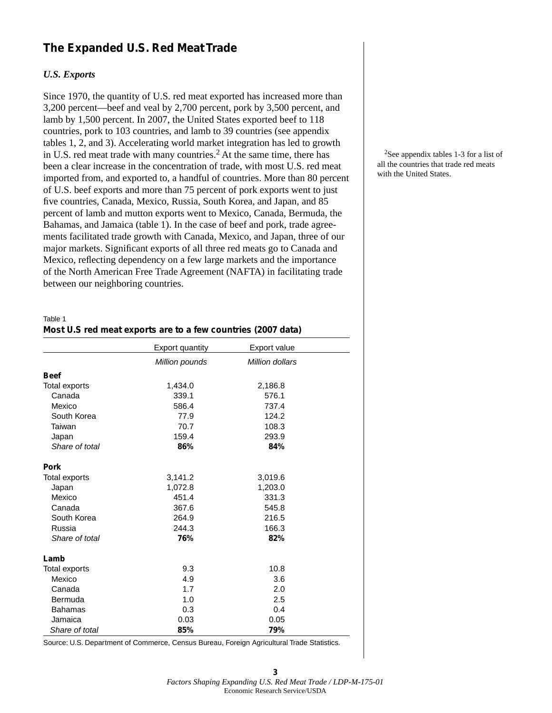### **The Expanded U.S. Red Meat Trade**

#### *U.S. Exports*

Since 1970, the quantity of U.S. red meat exported has increased more than 3,200 percent—beef and veal by 2,700 percent, pork by 3,500 percent, and lamb by 1,500 percent. In 2007, the United States exported beef to 118 countries, pork to 103 countries, and lamb to 39 countries (see appendix tables 1, 2, and 3). Accelerating world market integration has led to growth in U.S. red meat trade with many countries.<sup>2</sup> At the same time, there has been a clear increase in the concentration of trade, with most U.S. red meat imported from, and exported to, a handful of countries. More than 80 percent of U.S. beef exports and more than 75 percent of pork exports went to just five countries, Canada, Mexico, Russia, South Korea, and Japan, and 85 percent of lamb and mutton exports went to Mexico, Canada, Bermuda, the Bahamas, and Jamaica (table 1). In the case of beef and pork, trade agreements facilitated trade growth with Canada, Mexico, and Japan, three of our major markets. Significant exports of all three red meats go to Canada and Mexico, reflecting dependency on a few large markets and the importance of the North American Free Trade Agreement (NAFTA) in facilitating trade between our neighboring countries.

#### Table 1

| Most U.S red meat exports are to a few countries (2007 data) |  |
|--------------------------------------------------------------|--|
|                                                              |  |

|                | <b>Export quantity</b> | Export value    |  |
|----------------|------------------------|-----------------|--|
|                | Million pounds         | Million dollars |  |
| <b>Beef</b>    |                        |                 |  |
| Total exports  | 1,434.0                | 2,186.8         |  |
| Canada         | 339.1                  | 576.1           |  |
| Mexico         | 586.4                  | 737.4           |  |
| South Korea    | 77.9                   | 124.2           |  |
| Taiwan         | 70.7                   | 108.3           |  |
| Japan          | 159.4                  | 293.9           |  |
| Share of total | 86%                    | 84%             |  |
| <b>Pork</b>    |                        |                 |  |
| Total exports  | 3,141.2                | 3,019.6         |  |
| Japan          | 1,072.8                | 1,203.0         |  |
| Mexico         | 451.4                  | 331.3           |  |
| Canada         | 367.6                  | 545.8           |  |
| South Korea    | 264.9                  | 216.5           |  |
| Russia         | 244.3                  | 166.3           |  |
| Share of total | 76%                    | 82%             |  |
| Lamb           |                        |                 |  |
| Total exports  | 9.3                    | 10.8            |  |
| Mexico         | 4.9                    | 3.6             |  |
| Canada         | 1.7                    | 2.0             |  |
| Bermuda        | 1.0                    | 2.5             |  |
| <b>Bahamas</b> | 0.3                    | 0.4             |  |
| Jamaica        | 0.03                   | 0.05            |  |
| Share of total | 85%                    | 79%             |  |

Source: U.S. Department of Commerce, Census Bureau, Foreign Agricultural Trade Statistics.

2See appendix tables 1-3 for a list of all the countries that trade red meats with the United States.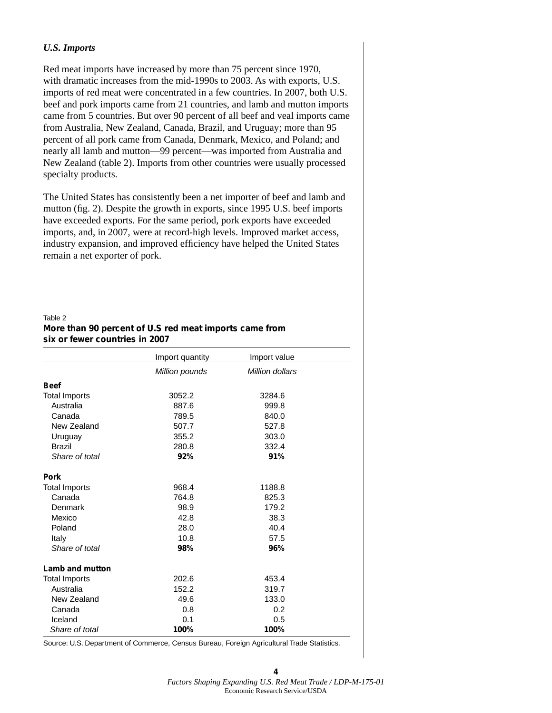#### *U.S. Imports*

Red meat imports have increased by more than 75 percent since 1970, with dramatic increases from the mid-1990s to 2003. As with exports, U.S. imports of red meat were concentrated in a few countries. In 2007, both U.S. beef and pork imports came from 21 countries, and lamb and mutton imports came from 5 countries. But over 90 percent of all beef and veal imports came from Australia, New Zealand, Canada, Brazil, and Uruguay; more than 95 percent of all pork came from Canada, Denmark, Mexico, and Poland; and nearly all lamb and mutton—99 percent—was imported from Australia and New Zealand (table 2). Imports from other countries were usually processed specialty products.

The United States has consistently been a net importer of beef and lamb and mutton (fig. 2). Despite the growth in exports, since 1995 U.S. beef imports have exceeded exports. For the same period, pork exports have exceeded imports, and, in 2007, were at record-high levels. Improved market access, industry expansion, and improved efficiency have helped the United States remain a net exporter of pork.

#### Table 2

#### **More than 90 percent of U.S red meat imports came from six or fewer countries in 2007**

|                      | Import quantity | Import value    |  |
|----------------------|-----------------|-----------------|--|
|                      | Million pounds  | Million dollars |  |
| <b>Beef</b>          |                 |                 |  |
| <b>Total Imports</b> | 3052.2          | 3284.6          |  |
| Australia            | 887.6           | 999.8           |  |
| Canada               | 789.5           | 840.0           |  |
| New Zealand          | 507.7           | 527.8           |  |
| Uruguay              | 355.2           | 303.0           |  |
| <b>Brazil</b>        | 280.8           | 332.4           |  |
| Share of total       | 92%             | 91%             |  |
| Pork                 |                 |                 |  |
| <b>Total Imports</b> | 968.4           | 1188.8          |  |
| Canada               | 764.8           | 825.3           |  |
| Denmark              | 98.9            | 179.2           |  |
| Mexico               | 42.8            | 38.3            |  |
| Poland               | 28.0            | 40.4            |  |
| Italy                | 10.8            | 57.5            |  |
| Share of total       | 98%             | 96%             |  |
| Lamb and mutton      |                 |                 |  |
| <b>Total Imports</b> | 202.6           | 453.4           |  |
| Australia            | 152.2           | 319.7           |  |
| New Zealand          | 49.6            | 133.0           |  |
| Canada               | 0.8             | 0.2             |  |
| Iceland              | 0.1             | 0.5             |  |
| Share of total       | 100%            | 100%            |  |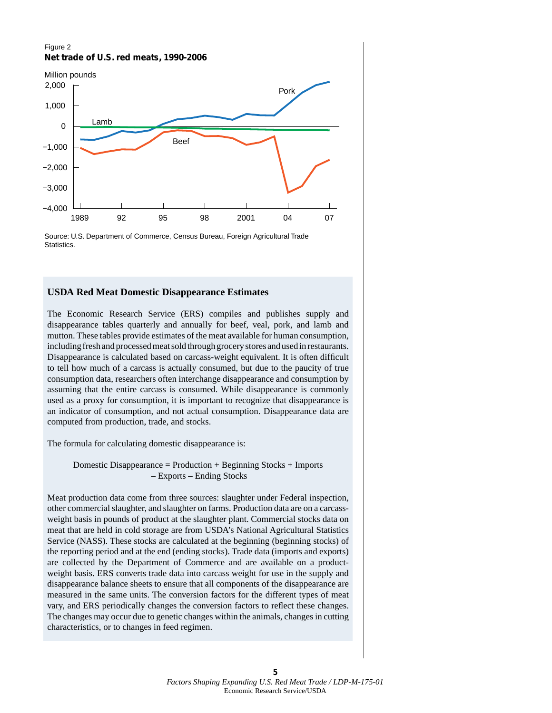#### Figure 2 **Net trade of U.S. red meats, 1990-2006**



Source: U.S. Department of Commerce, Census Bureau, Foreign Agricultural Trade Statistics.

#### **USDA Red Meat Domestic Disappearance Estimates**

The Economic Research Service (ERS) compiles and publishes supply and disappearance tables quarterly and annually for beef, veal, pork, and lamb and mutton. These tables provide estimates of the meat available for human consumption, including fresh and processed meat sold through grocery stores and used in restaurants. Disappearance is calculated based on carcass-weight equivalent. It is often difficult to tell how much of a carcass is actually consumed, but due to the paucity of true consumption data, researchers often interchange disappearance and consumption by assuming that the entire carcass is consumed. While disappearance is commonly used as a proxy for consumption, it is important to recognize that disappearance is an indicator of consumption, and not actual consumption. Disappearance data are computed from production, trade, and stocks.

The formula for calculating domestic disappearance is:

Domestic Disappearance = Production + Beginning Stocks + Imports – Exports – Ending Stocks

Meat production data come from three sources: slaughter under Federal inspection, other commercial slaughter, and slaughter on farms. Production data are on a carcassweight basis in pounds of product at the slaughter plant. Commercial stocks data on meat that are held in cold storage are from USDA's National Agricultural Statistics Service (NASS). These stocks are calculated at the beginning (beginning stocks) of the reporting period and at the end (ending stocks). Trade data (imports and exports) are collected by the Department of Commerce and are available on a productweight basis. ERS converts trade data into carcass weight for use in the supply and disappearance balance sheets to ensure that all components of the disappearance are measured in the same units. The conversion factors for the different types of meat vary, and ERS periodically changes the conversion factors to reflect these changes. The changes may occur due to genetic changes within the animals, changes in cutting characteristics, or to changes in feed regimen.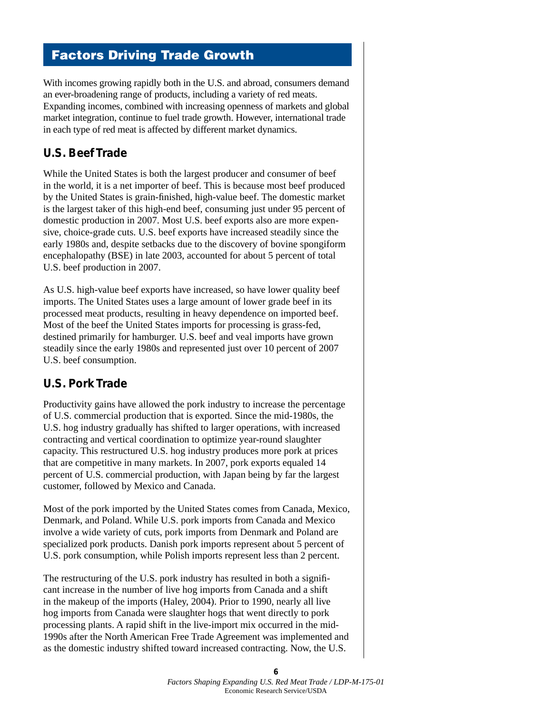# Factors Driving Trade Growth

With incomes growing rapidly both in the U.S. and abroad, consumers demand an ever-broadening range of products, including a variety of red meats. Expanding incomes, combined with increasing openness of markets and global market integration, continue to fuel trade growth. However, international trade in each type of red meat is affected by different market dynamics.

### **U.S. Beef Trade**

While the United States is both the largest producer and consumer of beef in the world, it is a net importer of beef. This is because most beef produced by the United States is grain-finished, high-value beef. The domestic market is the largest taker of this high-end beef, consuming just under 95 percent of domestic production in 2007. Most U.S. beef exports also are more expensive, choice-grade cuts. U.S. beef exports have increased steadily since the early 1980s and, despite setbacks due to the discovery of bovine spongiform encephalopathy (BSE) in late 2003, accounted for about 5 percent of total U.S. beef production in 2007.

As U.S. high-value beef exports have increased, so have lower quality beef imports. The United States uses a large amount of lower grade beef in its processed meat products, resulting in heavy dependence on imported beef. Most of the beef the United States imports for processing is grass-fed, destined primarily for hamburger. U.S. beef and veal imports have grown steadily since the early 1980s and represented just over 10 percent of 2007 U.S. beef consumption.

### **U.S. Pork Trade**

Productivity gains have allowed the pork industry to increase the percentage of U.S. commercial production that is exported. Since the mid-1980s, the U.S. hog industry gradually has shifted to larger operations, with increased contracting and vertical coordination to optimize year-round slaughter capacity. This restructured U.S. hog industry produces more pork at prices that are competitive in many markets. In 2007, pork exports equaled 14 percent of U.S. commercial production, with Japan being by far the largest customer, followed by Mexico and Canada.

Most of the pork imported by the United States comes from Canada, Mexico, Denmark, and Poland. While U.S. pork imports from Canada and Mexico involve a wide variety of cuts, pork imports from Denmark and Poland are specialized pork products. Danish pork imports represent about 5 percent of U.S. pork consumption, while Polish imports represent less than 2 percent.

The restructuring of the U.S. pork industry has resulted in both a significant increase in the number of live hog imports from Canada and a shift in the makeup of the imports (Haley, 2004). Prior to 1990, nearly all live hog imports from Canada were slaughter hogs that went directly to pork processing plants. A rapid shift in the live-import mix occurred in the mid-1990s after the North American Free Trade Agreement was implemented and as the domestic industry shifted toward increased contracting. Now, the U.S.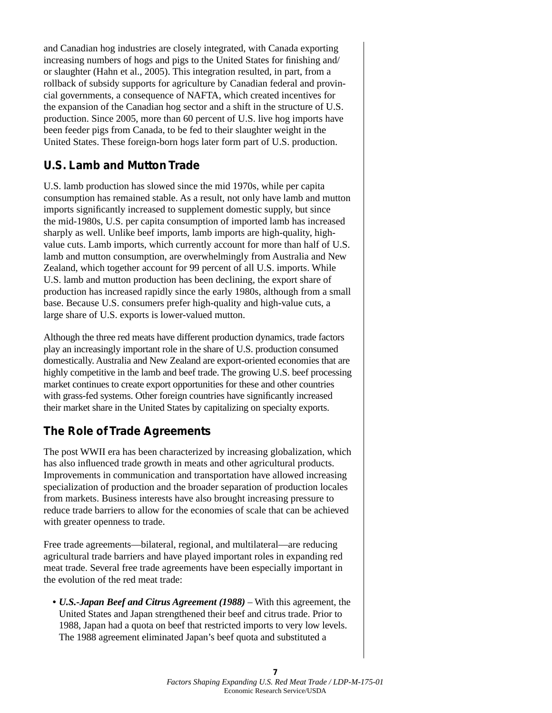and Canadian hog industries are closely integrated, with Canada exporting increasing numbers of hogs and pigs to the United States for finishing and/ or slaughter (Hahn et al., 2005). This integration resulted, in part, from a rollback of subsidy supports for agriculture by Canadian federal and provincial governments, a consequence of NAFTA, which created incentives for the expansion of the Canadian hog sector and a shift in the structure of U.S. production. Since 2005, more than 60 percent of U.S. live hog imports have been feeder pigs from Canada, to be fed to their slaughter weight in the United States. These foreign-born hogs later form part of U.S. production.

# **U.S. Lamb and Mutton Trade**

U.S. lamb production has slowed since the mid 1970s, while per capita consumption has remained stable. As a result, not only have lamb and mutton imports significantly increased to supplement domestic supply, but since the mid-1980s, U.S. per capita consumption of imported lamb has increased sharply as well. Unlike beef imports, lamb imports are high-quality, highvalue cuts. Lamb imports, which currently account for more than half of U.S. lamb and mutton consumption, are overwhelmingly from Australia and New Zealand, which together account for 99 percent of all U.S. imports. While U.S. lamb and mutton production has been declining, the export share of production has increased rapidly since the early 1980s, although from a small base. Because U.S. consumers prefer high-quality and high-value cuts, a large share of U.S. exports is lower-valued mutton.

Although the three red meats have different production dynamics, trade factors play an increasingly important role in the share of U.S. production consumed domestically. Australia and New Zealand are export-oriented economies that are highly competitive in the lamb and beef trade. The growing U.S. beef processing market continues to create export opportunities for these and other countries with grass-fed systems. Other foreign countries have significantly increased their market share in the United States by capitalizing on specialty exports.

# **The Role of Trade Agreements**

The post WWII era has been characterized by increasing globalization, which has also influenced trade growth in meats and other agricultural products. Improvements in communication and transportation have allowed increasing specialization of production and the broader separation of production locales from markets. Business interests have also brought increasing pressure to reduce trade barriers to allow for the economies of scale that can be achieved with greater openness to trade.

Free trade agreements—bilateral, regional, and multilateral—are reducing agricultural trade barriers and have played important roles in expanding red meat trade. Several free trade agreements have been especially important in the evolution of the red meat trade:

• *U.S.-Japan Beef and Citrus Agreement (1988)* – With this agreement, the United States and Japan strengthened their beef and citrus trade. Prior to 1988, Japan had a quota on beef that restricted imports to very low levels. The 1988 agreement eliminated Japan's beef quota and substituted a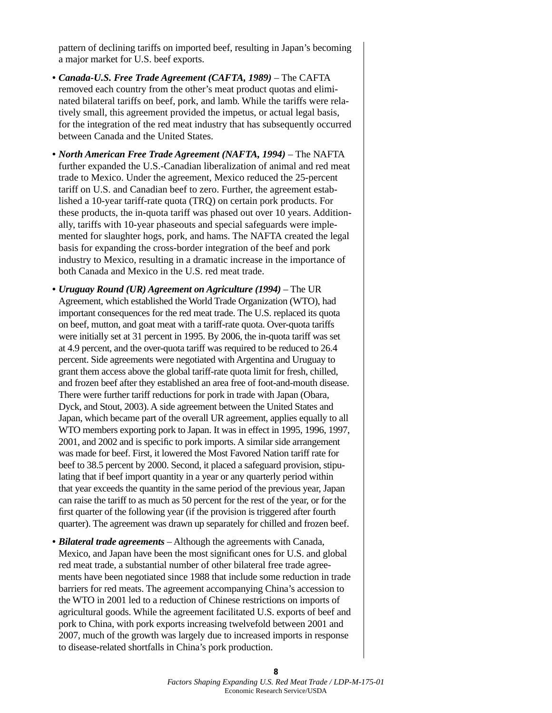pattern of declining tariffs on imported beef, resulting in Japan's becoming a major market for U.S. beef exports.

- *Canada-U.S. Free Trade Agreement (CAFTA, 1989)* The CAFTA removed each country from the other's meat product quotas and eliminated bilateral tariffs on beef, pork, and lamb. While the tariffs were relatively small, this agreement provided the impetus, or actual legal basis, for the integration of the red meat industry that has subsequently occurred between Canada and the United States.
- *North American Free Trade Agreement (NAFTA, 1994)* The NAFTA further expanded the U.S.-Canadian liberalization of animal and red meat trade to Mexico. Under the agreement, Mexico reduced the 25-percent tariff on U.S. and Canadian beef to zero. Further, the agreement established a 10-year tariff-rate quota (TRQ) on certain pork products. For these products, the in-quota tariff was phased out over 10 years. Additionally, tariffs with 10-year phaseouts and special safeguards were implemented for slaughter hogs, pork, and hams. The NAFTA created the legal basis for expanding the cross-border integration of the beef and pork industry to Mexico, resulting in a dramatic increase in the importance of both Canada and Mexico in the U.S. red meat trade.
- *Uruguay Round (UR) Agreement on Agriculture (1994)* The UR Agreement, which established the World Trade Organization (WTO), had important consequences for the red meat trade. The U.S. replaced its quota on beef, mutton, and goat meat with a tariff-rate quota. Over-quota tariffs were initially set at 31 percent in 1995. By 2006, the in-quota tariff was set at 4.9 percent, and the over-quota tariff was required to be reduced to 26.4 percent. Side agreements were negotiated with Argentina and Uruguay to grant them access above the global tariff-rate quota limit for fresh, chilled, and frozen beef after they established an area free of foot-and-mouth disease. There were further tariff reductions for pork in trade with Japan (Obara, Dyck, and Stout, 2003). A side agreement between the United States and Japan, which became part of the overall UR agreement, applies equally to all WTO members exporting pork to Japan. It was in effect in 1995, 1996, 1997, 2001, and 2002 and is specific to pork imports. A similar side arrangement was made for beef. First, it lowered the Most Favored Nation tariff rate for beef to 38.5 percent by 2000. Second, it placed a safeguard provision, stipulating that if beef import quantity in a year or any quarterly period within that year exceeds the quantity in the same period of the previous year, Japan can raise the tariff to as much as 50 percent for the rest of the year, or for the first quarter of the following year (if the provision is triggered after fourth quarter). The agreement was drawn up separately for chilled and frozen beef.
- *Bilateral trade agreements* Although the agreements with Canada, Mexico, and Japan have been the most significant ones for U.S. and global red meat trade, a substantial number of other bilateral free trade agreements have been negotiated since 1988 that include some reduction in trade barriers for red meats. The agreement accompanying China's accession to the WTO in 2001 led to a reduction of Chinese restrictions on imports of agricultural goods. While the agreement facilitated U.S. exports of beef and pork to China, with pork exports increasing twelvefold between 2001 and 2007, much of the growth was largely due to increased imports in response to disease-related shortfalls in China's pork production.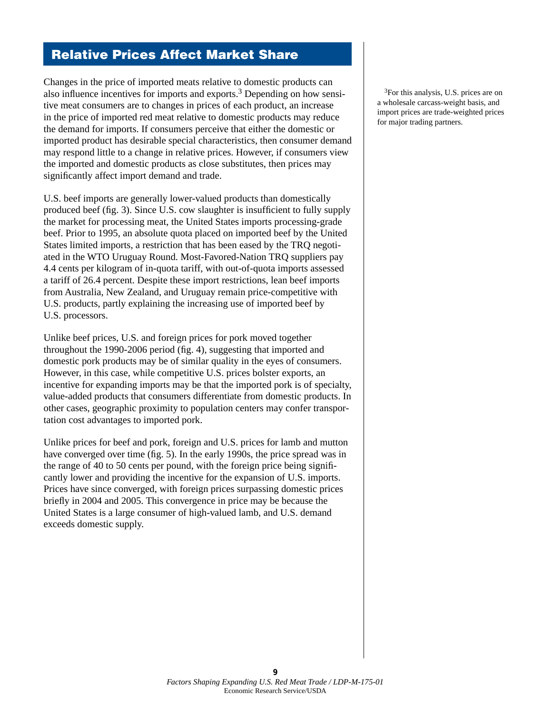# Relative Prices Affect Market Share

Changes in the price of imported meats relative to domestic products can also influence incentives for imports and exports.<sup>3</sup> Depending on how sensitive meat consumers are to changes in prices of each product, an increase in the price of imported red meat relative to domestic products may reduce the demand for imports. If consumers perceive that either the domestic or imported product has desirable special characteristics, then consumer demand may respond little to a change in relative prices. However, if consumers view the imported and domestic products as close substitutes, then prices may significantly affect import demand and trade.

U.S. beef imports are generally lower-valued products than domestically produced beef (fig. 3). Since U.S. cow slaughter is insufficient to fully supply the market for processing meat, the United States imports processing-grade beef. Prior to 1995, an absolute quota placed on imported beef by the United States limited imports, a restriction that has been eased by the TRQ negotiated in the WTO Uruguay Round. Most-Favored-Nation TRQ suppliers pay 4.4 cents per kilogram of in-quota tariff, with out-of-quota imports assessed a tariff of 26.4 percent. Despite these import restrictions, lean beef imports from Australia, New Zealand, and Uruguay remain price-competitive with U.S. products, partly explaining the increasing use of imported beef by U.S. processors.

Unlike beef prices, U.S. and foreign prices for pork moved together throughout the 1990-2006 period (fig. 4), suggesting that imported and domestic pork products may be of similar quality in the eyes of consumers. However, in this case, while competitive U.S. prices bolster exports, an incentive for expanding imports may be that the imported pork is of specialty, value-added products that consumers differentiate from domestic products. In other cases, geographic proximity to population centers may confer transportation cost advantages to imported pork.

Unlike prices for beef and pork, foreign and U.S. prices for lamb and mutton have converged over time (fig. 5). In the early 1990s, the price spread was in the range of 40 to 50 cents per pound, with the foreign price being significantly lower and providing the incentive for the expansion of U.S. imports. Prices have since converged, with foreign prices surpassing domestic prices briefly in 2004 and 2005. This convergence in price may be because the United States is a large consumer of high-valued lamb, and U.S. demand exceeds domestic supply.

3For this analysis, U.S. prices are on a wholesale carcass-weight basis, and import prices are trade-weighted prices for major trading partners.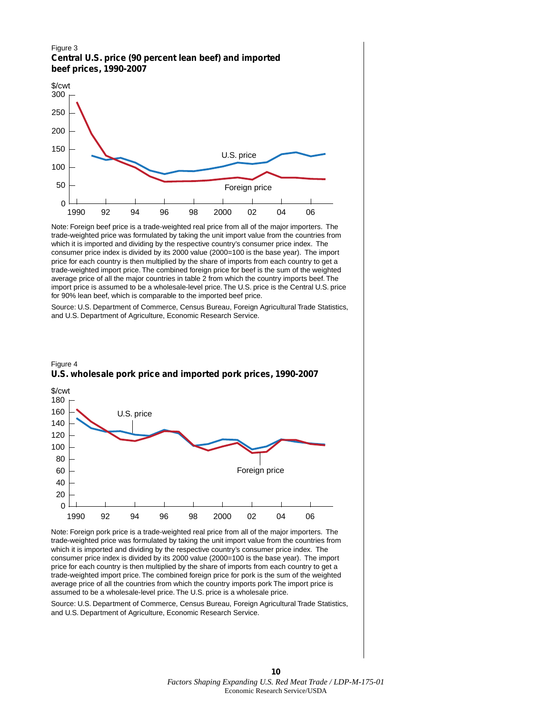#### Figure 3 **Central U.S. price (90 percent lean beef) and imported beef prices, 1990-2007**



Note: Foreign beef price is a trade-weighted real price from all of the major importers. The trade-weighted price was formulated by taking the unit import value from the countries from which it is imported and dividing by the respective country's consumer price index. The consumer price index is divided by its 2000 value (2000=100 is the base year). The import price for each country is then multiplied by the share of imports from each country to get a trade-weighted import price. The combined foreign price for beef is the sum of the weighted average price of all the major countries in table 2 from which the country imports beef. The import price is assumed to be a wholesale-level price. The U.S. price is the Central U.S. price for 90% lean beef, which is comparable to the imported beef price.

Source: U.S. Department of Commerce, Census Bureau, Foreign Agricultural Trade Statistics, and U.S. Department of Agriculture, Economic Research Service.





Note: Foreign pork price is a trade-weighted real price from all of the major importers. The trade-weighted price was formulated by taking the unit import value from the countries from which it is imported and dividing by the respective country's consumer price index. The consumer price index is divided by its 2000 value (2000=100 is the base year). The import price for each country is then multiplied by the share of imports from each country to get a trade-weighted import price. The combined foreign price for pork is the sum of the weighted average price of all the countries from which the country imports pork The import price is assumed to be a wholesale-level price. The U.S. price is a wholesale price.

Source: U.S. Department of Commerce, Census Bureau, Foreign Agricultural Trade Statistics, and U.S. Department of Agriculture, Economic Research Service.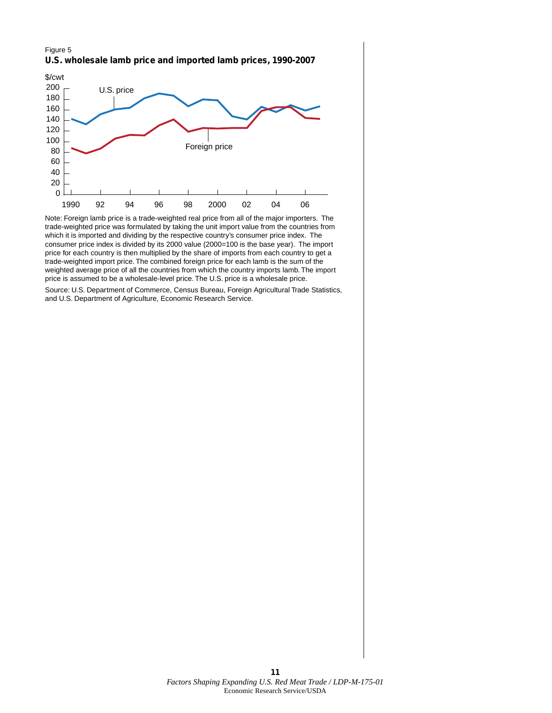



Note: Foreign lamb price is a trade-weighted real price from all of the major importers. The trade-weighted price was formulated by taking the unit import value from the countries from which it is imported and dividing by the respective country's consumer price index. The consumer price index is divided by its 2000 value (2000=100 is the base year). The import price for each country is then multiplied by the share of imports from each country to get a trade-weighted import price. The combined foreign price for each lamb is the sum of the weighted average price of all the countries from which the country imports lamb. The import price is assumed to be a wholesale-level price. The U.S. price is a wholesale price.

Source: U.S. Department of Commerce, Census Bureau, Foreign Agricultural Trade Statistics, and U.S. Department of Agriculture, Economic Research Service.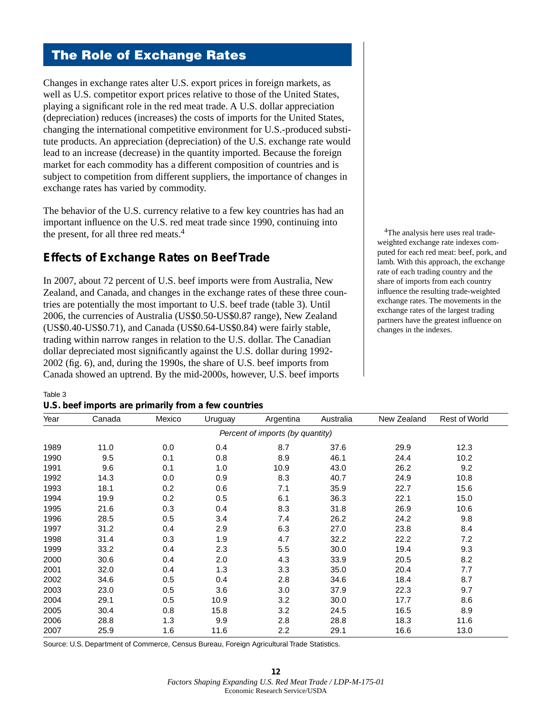# The Role of Exchange Rates

Changes in exchange rates alter U.S. export prices in foreign markets, as well as U.S. competitor export prices relative to those of the United States, playing a significant role in the red meat trade. A U.S. dollar appreciation (depreciation) reduces (increases) the costs of imports for the United States, changing the international competitive environment for U.S.-produced substitute products. An appreciation (depreciation) of the U.S. exchange rate would lead to an increase (decrease) in the quantity imported. Because the foreign market for each commodity has a different composition of countries and is subject to competition from different suppliers, the importance of changes in exchange rates has varied by commodity.

The behavior of the U.S. currency relative to a few key countries has had an important influence on the U.S. red meat trade since 1990, continuing into the present, for all three red meats.<sup>4</sup>

### **Effects of Exchange Rates on Beef Trade**

In 2007, about 72 percent of U.S. beef imports were from Australia, New Zealand, and Canada, and changes in the exchange rates of these three countries are potentially the most important to U.S. beef trade (table 3). Until 2006, the currencies of Australia (US\$0.50-US\$0.87 range), New Zealand (US\$0.40-US\$0.71), and Canada (US\$0.64-US\$0.84) were fairly stable, trading within narrow ranges in relation to the U.S. dollar. The Canadian dollar depreciated most significantly against the U.S. dollar during 1992- 2002 (fig. 6), and, during the 1990s, the share of U.S. beef imports from Canada showed an uptrend. By the mid-2000s, however, U.S. beef imports

<sup>4</sup>The analysis here uses real tradeweighted exchange rate indexes computed for each red meat: beef, pork, and lamb. With this approach, the exchange rate of each trading country and the share of imports from each country influence the resulting trade-weighted exchange rates. The movements in the exchange rates of the largest trading partners have the greatest influence on changes in the indexes.

#### Table 3 **U.S. beef imports are primarily from a few countries**

| Year | Canada | Mexico | Uruguay | Argentina                        | Australia | New Zealand | Rest of World |
|------|--------|--------|---------|----------------------------------|-----------|-------------|---------------|
|      |        |        |         | Percent of imports (by quantity) |           |             |               |
| 1989 | 11.0   | 0.0    | 0.4     | 8.7                              | 37.6      | 29.9        | 12.3          |
| 1990 | 9.5    | 0.1    | 0.8     | 8.9                              | 46.1      | 24.4        | 10.2          |
| 1991 | 9.6    | 0.1    | 1.0     | 10.9                             | 43.0      | 26.2        | 9.2           |
| 1992 | 14.3   | 0.0    | 0.9     | 8.3                              | 40.7      | 24.9        | 10.8          |
| 1993 | 18.1   | 0.2    | 0.6     | 7.1                              | 35.9      | 22.7        | 15.6          |
| 1994 | 19.9   | 0.2    | 0.5     | 6.1                              | 36.3      | 22.1        | 15.0          |
| 1995 | 21.6   | 0.3    | 0.4     | 8.3                              | 31.8      | 26.9        | 10.6          |
| 1996 | 28.5   | 0.5    | 3.4     | 7.4                              | 26.2      | 24.2        | 9.8           |
| 1997 | 31.2   | 0.4    | 2.9     | 6.3                              | 27.0      | 23.8        | 8.4           |
| 1998 | 31.4   | 0.3    | 1.9     | 4.7                              | 32.2      | 22.2        | 7.2           |
| 1999 | 33.2   | 0.4    | 2.3     | 5.5                              | 30.0      | 19.4        | 9.3           |
| 2000 | 30.6   | 0.4    | 2.0     | 4.3                              | 33.9      | 20.5        | 8.2           |
| 2001 | 32.0   | 0.4    | 1.3     | 3.3                              | 35.0      | 20.4        | 7.7           |
| 2002 | 34.6   | 0.5    | 0.4     | 2.8                              | 34.6      | 18.4        | 8.7           |
| 2003 | 23.0   | 0.5    | 3.6     | 3.0                              | 37.9      | 22.3        | 9.7           |
| 2004 | 29.1   | 0.5    | 10.9    | 3.2                              | 30.0      | 17.7        | 8.6           |
| 2005 | 30.4   | 0.8    | 15.8    | 3.2                              | 24.5      | 16.5        | 8.9           |
| 2006 | 28.8   | 1.3    | 9.9     | 2.8                              | 28.8      | 18.3        | 11.6          |
| 2007 | 25.9   | 1.6    | 11.6    | 2.2                              | 29.1      | 16.6        | 13.0          |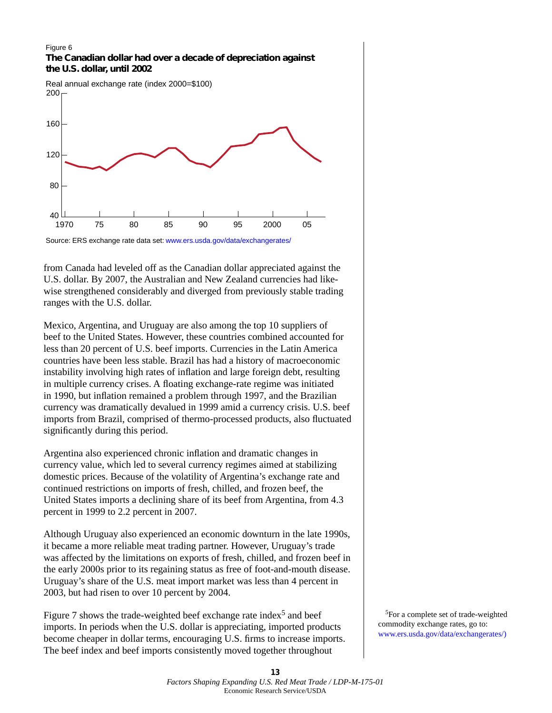#### Figure 6 **The Canadian dollar had over a decade of depreciation against the U.S. dollar, until 2002**



Source: ERS exchange rate data set: [www.ers.usda.gov/data/exchangerates/](http://www.ers.usda.gov/data/exchangerates/)

from Canada had leveled off as the Canadian dollar appreciated against the U.S. dollar. By 2007, the Australian and New Zealand currencies had likewise strengthened considerably and diverged from previously stable trading ranges with the U.S. dollar.

Mexico, Argentina, and Uruguay are also among the top 10 suppliers of beef to the United States. However, these countries combined accounted for less than 20 percent of U.S. beef imports. Currencies in the Latin America countries have been less stable. Brazil has had a history of macroeconomic instability involving high rates of inflation and large foreign debt, resulting in multiple currency crises. A floating exchange-rate regime was initiated in 1990, but inflation remained a problem through 1997, and the Brazilian currency was dramatically devalued in 1999 amid a currency crisis. U.S. beef imports from Brazil, comprised of thermo-processed products, also fluctuated significantly during this period.

Argentina also experienced chronic inflation and dramatic changes in currency value, which led to several currency regimes aimed at stabilizing domestic prices. Because of the volatility of Argentina's exchange rate and continued restrictions on imports of fresh, chilled, and frozen beef, the United States imports a declining share of its beef from Argentina, from 4.3 percent in 1999 to 2.2 percent in 2007.

Although Uruguay also experienced an economic downturn in the late 1990s, it became a more reliable meat trading partner. However, Uruguay's trade was affected by the limitations on exports of fresh, chilled, and frozen beef in the early 2000s prior to its regaining status as free of foot-and-mouth disease. Uruguay's share of the U.S. meat import market was less than 4 percent in 2003, but had risen to over 10 percent by 2004.

Figure 7 shows the trade-weighted beef exchange rate index<sup>5</sup> and beef imports. In periods when the U.S. dollar is appreciating, imported products become cheaper in dollar terms, encouraging U.S. firms to increase imports. The beef index and beef imports consistently moved together throughout

5For a complete set of trade-weighted commodity exchange rates, go to: [www.ers.usda.gov/data/exchangerates/\)](http://www.ers.usda.gov/data/exchangerates/)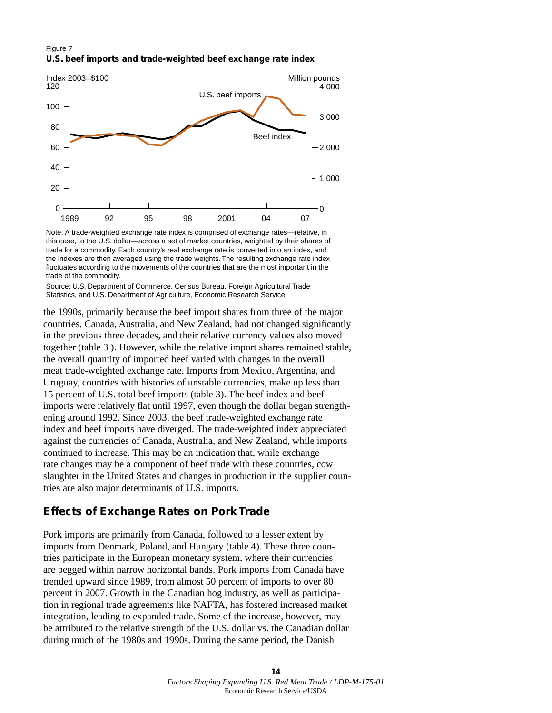#### Figure 7 **U.S. beef imports and trade-weighted beef exchange rate index**



Note: A trade-weighted exchange rate index is comprised of exchange rates—relative, in this case, to the U.S. dollar—across a set of market countries, weighted by their shares of trade for a commodity. Each country's real exchange rate is converted into an index, and the indexes are then averaged using the trade weights. The resulting exchange rate index fluctuates according to the movements of the countries that are the most important in the trade of the commodity.

Source: U.S. Department of Commerce, Census Bureau, Foreign Agricultural Trade Statistics, and U.S. Department of Agriculture, Economic Research Service.

the 1990s, primarily because the beef import shares from three of the major countries, Canada, Australia, and New Zealand, had not changed significantly in the previous three decades, and their relative currency values also moved together (table 3 ). However, while the relative import shares remained stable, the overall quantity of imported beef varied with changes in the overall meat trade-weighted exchange rate. Imports from Mexico, Argentina, and Uruguay, countries with histories of unstable currencies, make up less than 15 percent of U.S. total beef imports (table 3). The beef index and beef imports were relatively flat until 1997, even though the dollar began strengthening around 1992. Since 2003, the beef trade-weighted exchange rate index and beef imports have diverged. The trade-weighted index appreciated against the currencies of Canada, Australia, and New Zealand, while imports continued to increase. This may be an indication that, while exchange rate changes may be a component of beef trade with these countries, cow slaughter in the United States and changes in production in the supplier countries are also major determinants of U.S. imports.

### **Effects of Exchange Rates on Pork Trade**

Pork imports are primarily from Canada, followed to a lesser extent by imports from Denmark, Poland, and Hungary (table 4). These three countries participate in the European monetary system, where their currencies are pegged within narrow horizontal bands. Pork imports from Canada have trended upward since 1989, from almost 50 percent of imports to over 80 percent in 2007. Growth in the Canadian hog industry, as well as participation in regional trade agreements like NAFTA, has fostered increased market integration, leading to expanded trade. Some of the increase, however, may be attributed to the relative strength of the U.S. dollar vs. the Canadian dollar during much of the 1980s and 1990s. During the same period, the Danish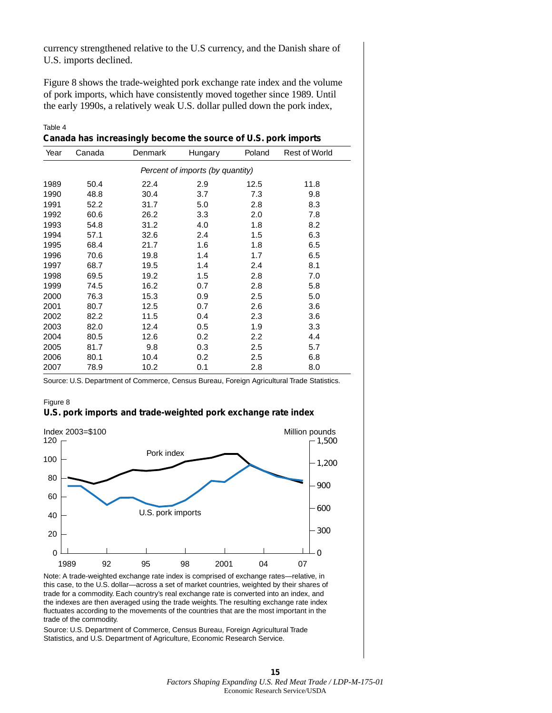currency strengthened relative to the U.S currency, and the Danish share of U.S. imports declined.

Figure 8 shows the trade-weighted pork exchange rate index and the volume of pork imports, which have consistently moved together since 1989. Until the early 1990s, a relatively weak U.S. dollar pulled down the pork index,

Table 4 **Canada has increasingly become the source of U.S. pork imports**

| Year | Canada | Denmark | Hungary                          | Poland | <b>Rest of World</b> |
|------|--------|---------|----------------------------------|--------|----------------------|
|      |        |         | Percent of imports (by quantity) |        |                      |
| 1989 | 50.4   | 22.4    | 2.9                              | 12.5   | 11.8                 |
| 1990 | 48.8   | 30.4    | 3.7                              | 7.3    | 9.8                  |
| 1991 | 52.2   | 31.7    | 5.0                              | 2.8    | 8.3                  |
| 1992 | 60.6   | 26.2    | 3.3                              | 2.0    | 7.8                  |
| 1993 | 54.8   | 31.2    | 4.0                              | 1.8    | 8.2                  |
| 1994 | 57.1   | 32.6    | 2.4                              | 1.5    | 6.3                  |
| 1995 | 68.4   | 21.7    | 1.6                              | 1.8    | 6.5                  |
| 1996 | 70.6   | 19.8    | 1.4                              | 1.7    | 6.5                  |
| 1997 | 68.7   | 19.5    | 1.4                              | 2.4    | 8.1                  |
| 1998 | 69.5   | 19.2    | 1.5                              | 2.8    | 7.0                  |
| 1999 | 74.5   | 16.2    | 0.7                              | 2.8    | 5.8                  |
| 2000 | 76.3   | 15.3    | 0.9                              | 2.5    | 5.0                  |
| 2001 | 80.7   | 12.5    | 0.7                              | 2.6    | 3.6                  |
| 2002 | 82.2   | 11.5    | 0.4                              | 2.3    | 3.6                  |
| 2003 | 82.0   | 12.4    | 0.5                              | 1.9    | 3.3                  |
| 2004 | 80.5   | 12.6    | 0.2                              | 2.2    | 4.4                  |
| 2005 | 81.7   | 9.8     | 0.3                              | 2.5    | 5.7                  |
| 2006 | 80.1   | 10.4    | 0.2                              | 2.5    | 6.8                  |
| 2007 | 78.9   | 10.2    | 0.1                              | 2.8    | 8.0                  |

Source: U.S. Department of Commerce, Census Bureau, Foreign Agricultural Trade Statistics.

Figure 8 **U.S. pork imports and trade-weighted pork exchange rate index**



Note: A trade-weighted exchange rate index is comprised of exchange rates—relative, in this case, to the U.S. dollar—across a set of market countries, weighted by their shares of trade for a commodity. Each country's real exchange rate is converted into an index, and the indexes are then averaged using the trade weights. The resulting exchange rate index fluctuates according to the movements of the countries that are the most important in the trade of the commodity.

Source: U.S. Department of Commerce, Census Bureau, Foreign Agricultural Trade Statistics, and U.S. Department of Agriculture, Economic Research Service.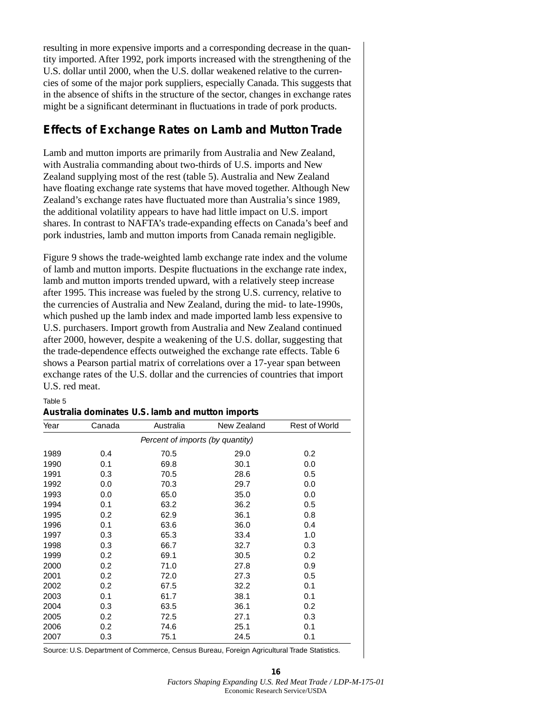resulting in more expensive imports and a corresponding decrease in the quantity imported. After 1992, pork imports increased with the strengthening of the U.S. dollar until 2000, when the U.S. dollar weakened relative to the currencies of some of the major pork suppliers, especially Canada. This suggests that in the absence of shifts in the structure of the sector, changes in exchange rates might be a significant determinant in fluctuations in trade of pork products.

### **Effects of Exchange Rates on Lamb and Mutton Trade**

Lamb and mutton imports are primarily from Australia and New Zealand, with Australia commanding about two-thirds of U.S. imports and New Zealand supplying most of the rest (table 5). Australia and New Zealand have floating exchange rate systems that have moved together. Although New Zealand's exchange rates have fluctuated more than Australia's since 1989, the additional volatility appears to have had little impact on U.S. import shares. In contrast to NAFTA's trade-expanding effects on Canada's beef and pork industries, lamb and mutton imports from Canada remain negligible.

Figure 9 shows the trade-weighted lamb exchange rate index and the volume of lamb and mutton imports. Despite fluctuations in the exchange rate index, lamb and mutton imports trended upward, with a relatively steep increase after 1995. This increase was fueled by the strong U.S. currency, relative to the currencies of Australia and New Zealand, during the mid- to late-1990s, which pushed up the lamb index and made imported lamb less expensive to U.S. purchasers. Import growth from Australia and New Zealand continued after 2000, however, despite a weakening of the U.S. dollar, suggesting that the trade-dependence effects outweighed the exchange rate effects. Table 6 shows a Pearson partial matrix of correlations over a 17-year span between exchange rates of the U.S. dollar and the currencies of countries that import U.S. red meat.

#### Table 5

| Year | Canada | Australia                        | New Zealand | Rest of World |
|------|--------|----------------------------------|-------------|---------------|
|      |        | Percent of imports (by quantity) |             |               |
| 1989 | 0.4    | 70.5                             | 29.0        | 0.2           |
| 1990 | 0.1    | 69.8                             | 30.1        | 0.0           |
| 1991 | 0.3    | 70.5                             | 28.6        | 0.5           |
| 1992 | 0.0    | 70.3                             | 29.7        | 0.0           |
| 1993 | 0.0    | 65.0                             | 35.0        | 0.0           |
| 1994 | 0.1    | 63.2                             | 36.2        | 0.5           |
| 1995 | 0.2    | 62.9                             | 36.1        | 0.8           |
| 1996 | 0.1    | 63.6                             | 36.0        | 0.4           |
| 1997 | 0.3    | 65.3                             | 33.4        | 1.0           |
| 1998 | 0.3    | 66.7                             | 32.7        | 0.3           |
| 1999 | 0.2    | 69.1                             | 30.5        | 0.2           |
| 2000 | 0.2    | 71.0                             | 27.8        | 0.9           |
| 2001 | 0.2    | 72.0                             | 27.3        | 0.5           |
| 2002 | 0.2    | 67.5                             | 32.2        | 0.1           |
| 2003 | 0.1    | 61.7                             | 38.1        | 0.1           |
| 2004 | 0.3    | 63.5                             | 36.1        | 0.2           |
| 2005 | 0.2    | 72.5                             | 27.1        | 0.3           |
| 2006 | 0.2    | 74.6                             | 25.1        | 0.1           |
| 2007 | 0.3    | 75.1                             | 24.5        | 0.1           |
|      |        |                                  |             |               |

| Australia dominates U.S. lamb and mutton imports |  |  |  |
|--------------------------------------------------|--|--|--|
|--------------------------------------------------|--|--|--|

Source: U.S. Department of Commerce, Census Bureau, Foreign Agricultural Trade Statistics.

**16** *Factors Shaping Expanding U.S. Red Meat Trade / LDP-M-175-01*  Economic Research Service/USDA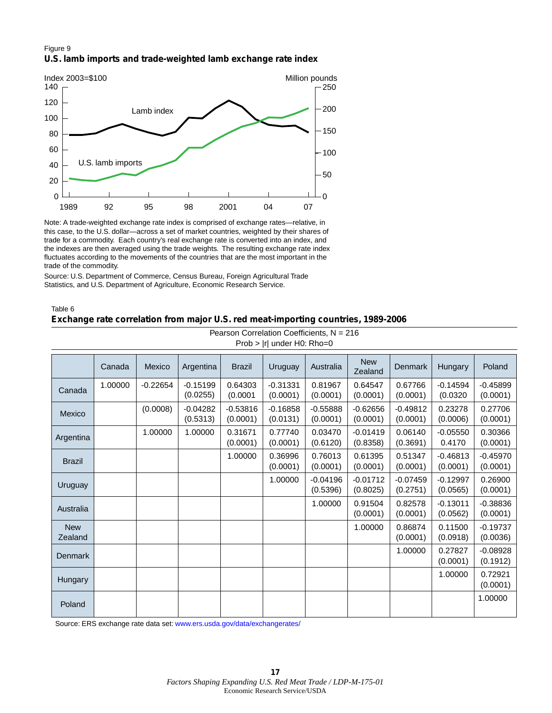#### Figure 9 **U.S. lamb imports and trade-weighted lamb exchange rate index**



Note: A trade-weighted exchange rate index is comprised of exchange rates—relative, in this case, to the U.S. dollar—across a set of market countries, weighted by their shares of trade for a commodity. Each country's real exchange rate is converted into an index, and the indexes are then averaged using the trade weights. The resulting exchange rate index fluctuates according to the movements of the countries that are the most important in the trade of the commodity.

Source: U.S. Department of Commerce, Census Bureau, Foreign Agricultural Trade Statistics, and U.S. Department of Agriculture, Economic Research Service.

Table 6

#### **Exchange rate correlation from major U.S. red meat-importing countries, 1989-2006**

| $1.100 \times 11$ and $1.101110 - 0$ |         |            |                        |                        |                        |                        |                        |                        |                        |                        |
|--------------------------------------|---------|------------|------------------------|------------------------|------------------------|------------------------|------------------------|------------------------|------------------------|------------------------|
|                                      | Canada  | Mexico     | Argentina              | <b>Brazil</b>          | Uruguay                | Australia              | <b>New</b><br>Zealand  | Denmark                | Hungary                | Poland                 |
| Canada                               | 1.00000 | $-0.22654$ | $-0.15199$<br>(0.0255) | 0.64303<br>(0.0001)    | $-0.31331$<br>(0.0001) | 0.81967<br>(0.0001)    | 0.64547<br>(0.0001)    | 0.67766<br>(0.0001)    | $-0.14594$<br>(0.0320) | $-0.45899$<br>(0.0001) |
| Mexico                               |         | (0.0008)   | $-0.04282$<br>(0.5313) | $-0.53816$<br>(0.0001) | $-0.16858$<br>(0.0131) | $-0.55888$<br>(0.0001) | $-0.62656$<br>(0.0001) | $-0.49812$<br>(0.0001) | 0.23278<br>(0.0006)    | 0.27706<br>(0.0001)    |
| Argentina                            |         | 1.00000    | 1.00000                | 0.31671<br>(0.0001)    | 0.77740<br>(0.0001)    | 0.03470<br>(0.6120)    | $-0.01419$<br>(0.8358) | 0.06140<br>(0.3691)    | $-0.05550$<br>0.4170   | 0.30366<br>(0.0001)    |
| <b>Brazil</b>                        |         |            |                        | 1.00000                | 0.36996<br>(0.0001)    | 0.76013<br>(0.0001)    | 0.61395<br>(0.0001)    | 0.51347<br>(0.0001)    | $-0.46813$<br>(0.0001) | $-0.45970$<br>(0.0001) |
| Uruguay                              |         |            |                        |                        | 1.00000                | $-0.04196$<br>(0.5396) | $-0.01712$<br>(0.8025) | $-0.07459$<br>(0.2751) | $-0.12997$<br>(0.0565) | 0.26900<br>(0.0001)    |
| Australia                            |         |            |                        |                        |                        | 1.00000                | 0.91504<br>(0.0001)    | 0.82578<br>(0.0001)    | $-0.13011$<br>(0.0562) | $-0.38836$<br>(0.0001) |
| <b>New</b><br>Zealand                |         |            |                        |                        |                        |                        | 1.00000                | 0.86874<br>(0.0001)    | 0.11500<br>(0.0918)    | $-0.19737$<br>(0.0036) |
| <b>Denmark</b>                       |         |            |                        |                        |                        |                        |                        | 1.00000                | 0.27827<br>(0.0001)    | $-0.08928$<br>(0.1912) |
| Hungary                              |         |            |                        |                        |                        |                        |                        |                        | 1.00000                | 0.72921<br>(0.0001)    |
| Poland                               |         |            |                        |                        |                        |                        |                        |                        |                        | 1.00000                |

Pearson Correlation Coefficients, N = 216 Prob > Irl under H0: Rho=0

Source: ERS exchange rate data set: [www.ers.usda.gov/data/exchangerates/](http://www.ers.usda.gov/data/exchangerates/)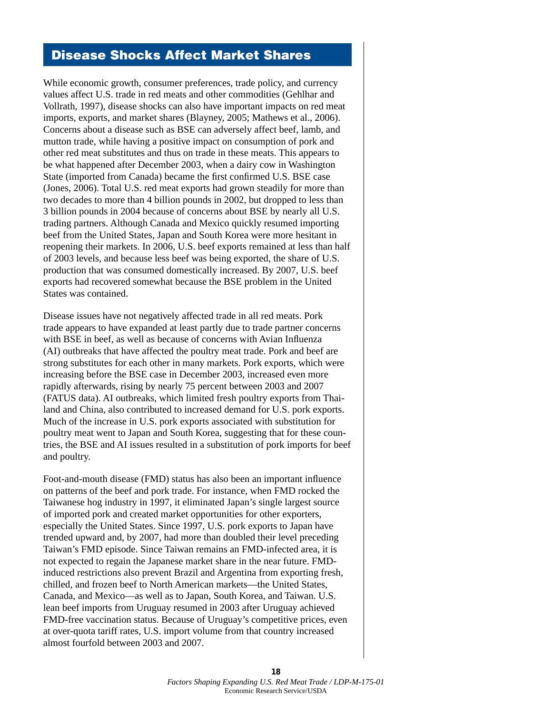# Disease Shocks Affect Market Shares

While economic growth, consumer preferences, trade policy, and currency values affect U.S. trade in red meats and other commodities (Gehlhar and Vollrath, 1997), disease shocks can also have important impacts on red meat imports, exports, and market shares (Blayney, 2005; Mathews et al., 2006). Concerns about a disease such as BSE can adversely affect beef, lamb, and mutton trade, while having a positive impact on consumption of pork and other red meat substitutes and thus on trade in these meats. This appears to be what happened after December 2003, when a dairy cow in Washington State (imported from Canada) became the first confirmed U.S. BSE case (Jones, 2006). Total U.S. red meat exports had grown steadily for more than two decades to more than 4 billion pounds in 2002, but dropped to less than 3 billion pounds in 2004 because of concerns about BSE by nearly all U.S. trading partners. Although Canada and Mexico quickly resumed importing beef from the United States, Japan and South Korea were more hesitant in reopening their markets. In 2006, U.S. beef exports remained at less than half of 2003 levels, and because less beef was being exported, the share of U.S. production that was consumed domestically increased. By 2007, U.S. beef exports had recovered somewhat because the BSE problem in the United States was contained.

Disease issues have not negatively affected trade in all red meats. Pork trade appears to have expanded at least partly due to trade partner concerns with BSE in beef, as well as because of concerns with Avian Influenza (AI) outbreaks that have affected the poultry meat trade. Pork and beef are strong substitutes for each other in many markets. Pork exports, which were increasing before the BSE case in December 2003, increased even more rapidly afterwards, rising by nearly 75 percent between 2003 and 2007 (FATUS data). AI outbreaks, which limited fresh poultry exports from Thailand and China, also contributed to increased demand for U.S. pork exports. Much of the increase in U.S. pork exports associated with substitution for poultry meat went to Japan and South Korea, suggesting that for these countries, the BSE and AI issues resulted in a substitution of pork imports for beef and poultry.

Foot-and-mouth disease (FMD) status has also been an important influence on patterns of the beef and pork trade. For instance, when FMD rocked the Taiwanese hog industry in 1997, it eliminated Japan's single largest source of imported pork and created market opportunities for other exporters, especially the United States. Since 1997, U.S. pork exports to Japan have trended upward and, by 2007, had more than doubled their level preceding Taiwan's FMD episode. Since Taiwan remains an FMD-infected area, it is not expected to regain the Japanese market share in the near future. FMDinduced restrictions also prevent Brazil and Argentina from exporting fresh, chilled, and frozen beef to North American markets—the United States, Canada, and Mexico—as well as to Japan, South Korea, and Taiwan. U.S. lean beef imports from Uruguay resumed in 2003 after Uruguay achieved FMD-free vaccination status. Because of Uruguay's competitive prices, even at over-quota tariff rates, U.S. import volume from that country increased almost fourfold between 2003 and 2007.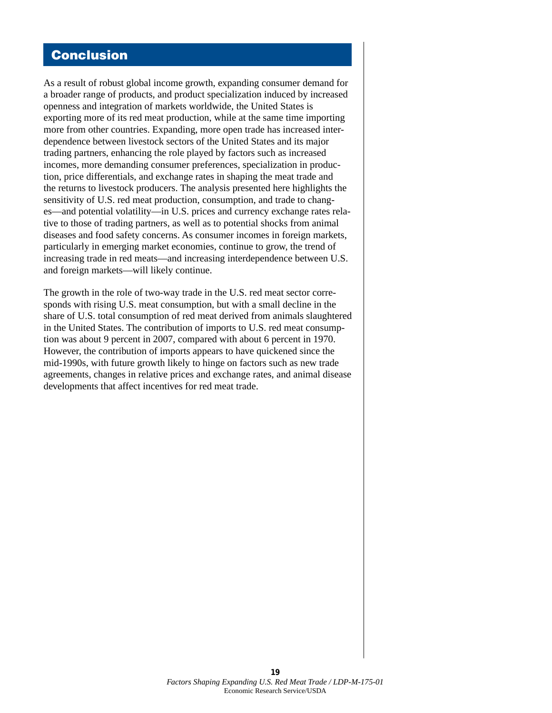### Conclusion

As a result of robust global income growth, expanding consumer demand for a broader range of products, and product specialization induced by increased openness and integration of markets worldwide, the United States is exporting more of its red meat production, while at the same time importing more from other countries. Expanding, more open trade has increased interdependence between livestock sectors of the United States and its major trading partners, enhancing the role played by factors such as increased incomes, more demanding consumer preferences, specialization in production, price differentials, and exchange rates in shaping the meat trade and the returns to livestock producers. The analysis presented here highlights the sensitivity of U.S. red meat production, consumption, and trade to changes—and potential volatility—in U.S. prices and currency exchange rates relative to those of trading partners, as well as to potential shocks from animal diseases and food safety concerns. As consumer incomes in foreign markets, particularly in emerging market economies, continue to grow, the trend of increasing trade in red meats—and increasing interdependence between U.S. and foreign markets—will likely continue.

The growth in the role of two-way trade in the U.S. red meat sector corresponds with rising U.S. meat consumption, but with a small decline in the share of U.S. total consumption of red meat derived from animals slaughtered in the United States. The contribution of imports to U.S. red meat consumption was about 9 percent in 2007, compared with about 6 percent in 1970. However, the contribution of imports appears to have quickened since the mid-1990s, with future growth likely to hinge on factors such as new trade agreements, changes in relative prices and exchange rates, and animal disease developments that affect incentives for red meat trade.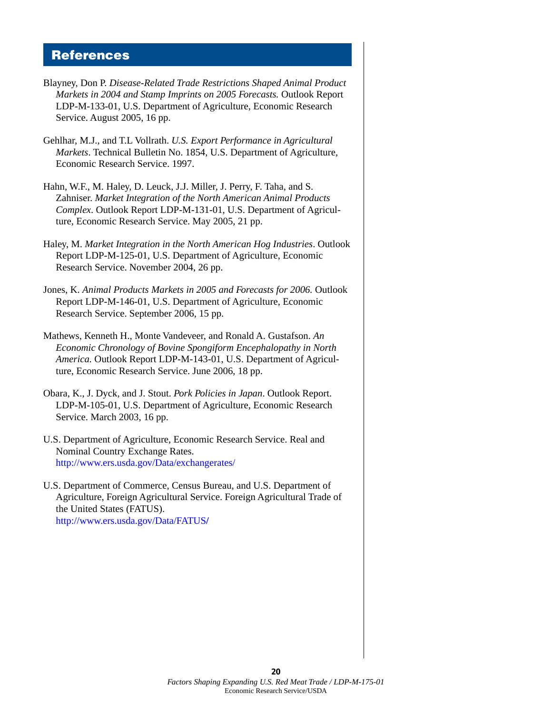### **References**

- Blayney, Don P. *Disease-Related Trade Restrictions Shaped Animal Product Markets in 2004 and Stamp Imprints on 2005 Forecasts.* Outlook Report LDP-M-133-01, U.S. Department of Agriculture, Economic Research Service. August 2005, 16 pp.
- Gehlhar, M.J., and T.L Vollrath. *U.S. Export Performance in Agricultural Markets*. Technical Bulletin No. 1854, U.S. Department of Agriculture, Economic Research Service. 1997.
- Hahn, W.F., M. Haley, D. Leuck, J.J. Miller, J. Perry, F. Taha, and S. Zahniser. *Market Integration of the North American Animal Products Complex*. Outlook Report LDP-M-131-01, U.S. Department of Agriculture, Economic Research Service. May 2005, 21 pp.
- Haley, M. *Market Integration in the North American Hog Industries*. Outlook Report LDP-M-125-01, U.S. Department of Agriculture, Economic Research Service. November 2004, 26 pp.
- Jones, K. *Animal Products Markets in 2005 and Forecasts for 2006.* Outlook Report LDP-M-146-01, U.S. Department of Agriculture, Economic Research Service. September 2006, 15 pp.
- Mathews, Kenneth H., Monte Vandeveer, and Ronald A. Gustafson. *An Economic Chronology of Bovine Spongiform Encephalopathy in North America.* Outlook Report LDP-M-143-01, U.S. Department of Agriculture, Economic Research Service. June 2006, 18 pp.
- Obara, K., J. Dyck, and J. Stout. *Pork Policies in Japan*. Outlook Report. LDP-M-105-01, U.S. Department of Agriculture, Economic Research Service. March 2003, 16 pp.
- U.S. Department of Agriculture, Economic Research Service. Real and Nominal Country Exchange Rates. [http://www.ers.usda.gov/Data/exchangerates/](http://www.ers.usda.gov/data/exchangerates/)
- U.S. Department of Commerce, Census Bureau, and U.S. Department of Agriculture, Foreign Agricultural Service. Foreign Agricultural Trade of the United States (FATUS). [http://www.ers.usda.gov/Data/FATUS](http://www.ers.usda.gov/data/fatus/)**/**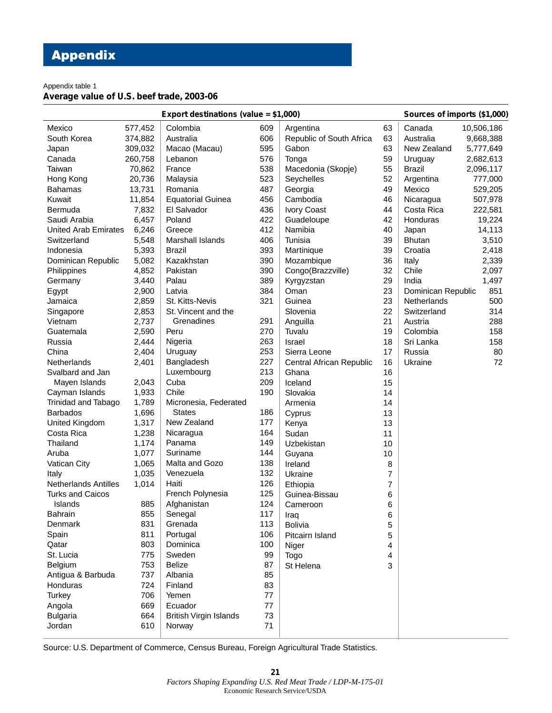# Appendix

Appendix table 1

### **Average value of U.S. beef trade, 2003-06**

| Export destinations (value = \$1,000) |         |                               |     |                          |                | Sources of imports (\$1,000) |            |
|---------------------------------------|---------|-------------------------------|-----|--------------------------|----------------|------------------------------|------------|
| Mexico                                | 577,452 | Colombia                      | 609 | Argentina                | 63             | Canada                       | 10,506,186 |
| South Korea                           | 374,882 | Australia                     | 606 | Republic of South Africa | 63             | Australia                    | 9,668,388  |
| Japan                                 | 309,032 | Macao (Macau)                 | 595 | Gabon                    | 63             | New Zealand                  | 5,777,649  |
| Canada                                | 260,758 | Lebanon                       | 576 | Tonga                    | 59             | Uruguay                      | 2,682,613  |
| Taiwan                                | 70,862  | France                        | 538 | Macedonia (Skopje)       | 55             | <b>Brazil</b>                | 2,096,117  |
| Hong Kong                             | 20,736  | Malaysia                      | 523 | Seychelles               | 52             | Argentina                    | 777,000    |
| <b>Bahamas</b>                        | 13,731  | Romania                       | 487 | Georgia                  | 49             | Mexico                       | 529,205    |
| Kuwait                                | 11,854  | <b>Equatorial Guinea</b>      | 456 | Cambodia                 | 46             | Nicaragua                    | 507,978    |
| Bermuda                               | 7,832   | El Salvador                   | 436 | Ivory Coast              | 44             | Costa Rica                   | 222,581    |
| Saudi Arabia                          | 6,457   | Poland                        | 422 | Guadeloupe               | 42             | Honduras                     | 19,224     |
| <b>United Arab Emirates</b>           | 6,246   | Greece                        | 412 | Namibia                  | 40             | Japan                        | 14,113     |
| Switzerland                           | 5,548   | Marshall Islands              | 406 | Tunisia                  | 39             | <b>Bhutan</b>                | 3,510      |
| Indonesia                             | 5,393   | <b>Brazil</b>                 | 393 | Martinique               | 39             | Croatia                      | 2,418      |
| Dominican Republic                    | 5,082   | Kazakhstan                    | 390 | Mozambique               | 36             | Italy                        | 2,339      |
| Philippines                           | 4,852   | Pakistan                      | 390 | Congo(Brazzville)        | 32             | Chile                        | 2,097      |
| Germany                               | 3,440   | Palau                         | 389 | Kyrgyzstan               | 29             | India                        | 1,497      |
| Egypt                                 | 2,900   | Latvia                        | 384 | Oman                     | 23             | Dominican Republic           | 851        |
| Jamaica                               | 2,859   | St. Kitts-Nevis               | 321 | Guinea                   | 23             | <b>Netherlands</b>           | 500        |
| Singapore                             | 2,853   | St. Vincent and the           |     | Slovenia                 | 22             | Switzerland                  | 314        |
| Vietnam                               | 2,737   | Grenadines                    | 291 | Anguilla                 | 21             | Austria                      | 288        |
| Guatemala                             | 2,590   | Peru                          | 270 | Tuvalu                   | 19             | Colombia                     | 158        |
| Russia                                | 2,444   | Nigeria                       | 263 | Israel                   | 18             | Sri Lanka                    | 158        |
| China                                 | 2,404   | Uruguay                       | 253 | Sierra Leone             | 17             | Russia                       | 80         |
| Netherlands                           | 2,401   | Bangladesh                    | 227 | Central African Republic | 16             | Ukraine                      | 72         |
| Svalbard and Jan                      |         | Luxembourg                    | 213 | Ghana                    | 16             |                              |            |
| Mayen Islands                         | 2,043   | Cuba                          | 209 | Iceland                  | 15             |                              |            |
| Cayman Islands                        | 1,933   | Chile                         | 190 | Slovakia                 | 14             |                              |            |
| Trinidad and Tabago                   | 1,789   | Micronesia, Federated         |     | Armenia                  | 14             |                              |            |
| <b>Barbados</b>                       | 1,696   | <b>States</b>                 | 186 | Cyprus                   | 13             |                              |            |
| United Kingdom                        | 1,317   | New Zealand                   | 177 | Kenya                    | 13             |                              |            |
| Costa Rica                            | 1,238   | Nicaragua                     | 164 | Sudan                    | 11             |                              |            |
| Thailand                              | 1,174   | Panama                        | 149 | Uzbekistan               | 10             |                              |            |
| Aruba                                 | 1,077   | Suriname                      | 144 | Guyana                   | 10             |                              |            |
| Vatican City                          | 1,065   | Malta and Gozo                | 138 | Ireland                  | 8              |                              |            |
| Italy                                 | 1,035   | Venezuela                     | 132 | Ukraine                  | $\overline{7}$ |                              |            |
| <b>Netherlands Antilles</b>           | 1,014   | Haiti                         | 126 | Ethiopia                 | 7              |                              |            |
| <b>Turks and Caicos</b>               |         | French Polynesia              | 125 | Guinea-Bissau            | 6              |                              |            |
| Islands                               | 885     | Afghanistan                   | 124 | Cameroon                 | 6              |                              |            |
| <b>Bahrain</b>                        | 855     | Senegal                       | 117 | Iraq                     | 6              |                              |            |
| Denmark                               | 831     | Grenada                       | 113 | <b>Bolivia</b>           | 5              |                              |            |
| Spain                                 | 811     | Portugal                      | 106 | Pitcairn Island          | 5              |                              |            |
| Qatar                                 | 803     | Dominica                      | 100 | Niger                    | 4              |                              |            |
| St. Lucia                             | 775     | Sweden                        | 99  | Togo                     | 4              |                              |            |
| Belgium                               | 753     | <b>Belize</b>                 | 87  | St Helena                | 3              |                              |            |
| Antigua & Barbuda                     | 737     | Albania                       | 85  |                          |                |                              |            |
| Honduras                              | 724     | Finland                       | 83  |                          |                |                              |            |
| Turkey                                | 706     | Yemen                         | 77  |                          |                |                              |            |
| Angola                                | 669     | Ecuador                       | 77  |                          |                |                              |            |
| <b>Bulgaria</b>                       | 664     | <b>British Virgin Islands</b> | 73  |                          |                |                              |            |
| Jordan                                | 610     | Norway                        | 71  |                          |                |                              |            |
|                                       |         |                               |     |                          |                |                              |            |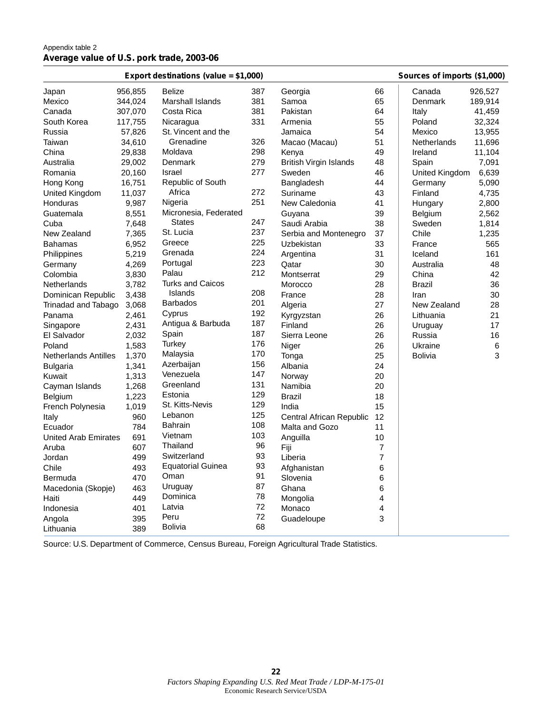#### Appendix table 2 **Average value of U.S. pork trade, 2003-06**

| Export destinations (value = \$1,000) |            |                          |     |                               |                | Sources of imports (\$1,000) |         |
|---------------------------------------|------------|--------------------------|-----|-------------------------------|----------------|------------------------------|---------|
| Japan                                 | 956,855    | <b>Belize</b>            | 387 | Georgia                       | 66             | Canada                       | 926,527 |
| Mexico                                | 344,024    | <b>Marshall Islands</b>  | 381 | Samoa                         | 65             | Denmark                      | 189,914 |
| Canada                                | 307,070    | Costa Rica               | 381 | Pakistan                      | 64             | Italy                        | 41,459  |
| South Korea                           | 117,755    | Nicaragua                | 331 | Armenia                       | 55             | Poland                       | 32,324  |
| Russia                                | 57,826     | St. Vincent and the      |     | Jamaica                       | 54             | Mexico                       | 13,955  |
| Taiwan                                | 34,610     | Grenadine                | 326 | Macao (Macau)                 | 51             | Netherlands                  | 11,696  |
| China                                 | 29,838     | Moldava                  | 298 | Kenya                         | 49             | Ireland                      | 11,104  |
| Australia                             | 29,002     | Denmark                  | 279 | <b>British Virgin Islands</b> | 48             | Spain                        | 7,091   |
| Romania                               | 20,160     | Israel                   | 277 | Sweden                        | 46             | United Kingdom               | 6,639   |
| Hong Kong                             | 16,751     | Republic of South        |     | Bangladesh                    | 44             | Germany                      | 5,090   |
| United Kingdom                        | 11,037     | Africa                   | 272 | Suriname                      | 43             | Finland                      | 4,735   |
| Honduras                              | 9,987      | Nigeria                  | 251 | New Caledonia                 | 41             | Hungary                      | 2,800   |
| Guatemala                             | 8,551      | Micronesia, Federated    |     | Guyana                        | 39             | <b>Belgium</b>               | 2,562   |
| Cuba                                  | 7,648      | <b>States</b>            | 247 | Saudi Arabia                  | 38             | Sweden                       | 1,814   |
| New Zealand                           | 7,365      | St. Lucia                | 237 | Serbia and Montenegro         | 37             | Chile                        | 1,235   |
| <b>Bahamas</b>                        | 6,952      | Greece                   | 225 | Uzbekistan                    | 33             | France                       | 565     |
| Philippines                           | 5,219      | Grenada                  | 224 | Argentina                     | 31             | Iceland                      | 161     |
| Germany                               | 4,269      | Portugal                 | 223 | Qatar                         | 30             | Australia                    | 48      |
| Colombia                              | 3,830      | Palau                    | 212 | Montserrat                    | 29             | China                        | 42      |
| Netherlands                           | 3,782      | <b>Turks and Caicos</b>  |     | Morocco                       | 28             | <b>Brazil</b>                | 36      |
| Dominican Republic                    | 3,438      | Islands                  | 208 | France                        | 28             | Iran                         | 30      |
| Trinadad and Tabago                   | 3,068      | <b>Barbados</b>          | 201 | Algeria                       | 27             | New Zealand                  | 28      |
| Panama                                | 2,461      | Cyprus                   | 192 | Kyrgyzstan                    | 26             | Lithuania                    | 21      |
| Singapore                             | 2,431      | Antigua & Barbuda        | 187 | Finland                       | 26             | Uruguay                      | 17      |
| El Salvador                           | 2,032      | Spain                    | 187 | Sierra Leone                  | 26             | Russia                       | 16      |
| Poland                                | 1,583      | Turkey                   | 176 | Niger                         | 26             | Ukraine                      | $\,6\,$ |
| Netherlands Antilles                  | 1,370      | Malaysia                 | 170 | Tonga                         | 25             | <b>Bolivia</b>               | 3       |
| <b>Bulgaria</b>                       | 1,341      | Azerbaijan               | 156 | Albania                       | 24             |                              |         |
| Kuwait                                | 1,313      | Venezuela                | 147 | Norway                        | 20             |                              |         |
|                                       | 1,268      | Greenland                | 131 | Namibia                       | 20             |                              |         |
| Cayman Islands                        | 1,223      | Estonia                  | 129 | <b>Brazil</b>                 | 18             |                              |         |
| <b>Belgium</b>                        | 1,019      | St. Kitts-Nevis          | 129 | India                         | 15             |                              |         |
| French Polynesia                      |            | Lebanon                  | 125 |                               | 12             |                              |         |
| Italy                                 | 960        | <b>Bahrain</b>           | 108 | Central African Republic      |                |                              |         |
| Ecuador                               | 784<br>691 | Vietnam                  | 103 | Malta and Gozo                | 11<br>10       |                              |         |
| <b>United Arab Emirates</b>           |            | Thailand                 | 96  | Anguilla                      |                |                              |         |
| Aruba                                 | 607        | Switzerland              | 93  | Fiji                          | $\overline{7}$ |                              |         |
| Jordan                                | 499        | <b>Equatorial Guinea</b> | 93  | Liberia                       | $\overline{7}$ |                              |         |
| Chile                                 | 493        | Oman                     | 91  | Afghanistan                   | 6              |                              |         |
| Bermuda                               | 470        |                          | 87  | Slovenia                      | 6              |                              |         |
| Macedonia (Skopje)                    | 463        | Uruguay<br>Dominica      | 78  | Ghana                         | 6              |                              |         |
| Haiti                                 | 449        | Latvia                   | 72  | Mongolia                      | 4              |                              |         |
| Indonesia                             | 401        |                          |     | Monaco                        | 4              |                              |         |
| Angola                                | 395        | Peru                     | 72  | Guadeloupe                    | 3              |                              |         |
| Lithuania                             | 389        | Bolivia                  | 68  |                               |                |                              |         |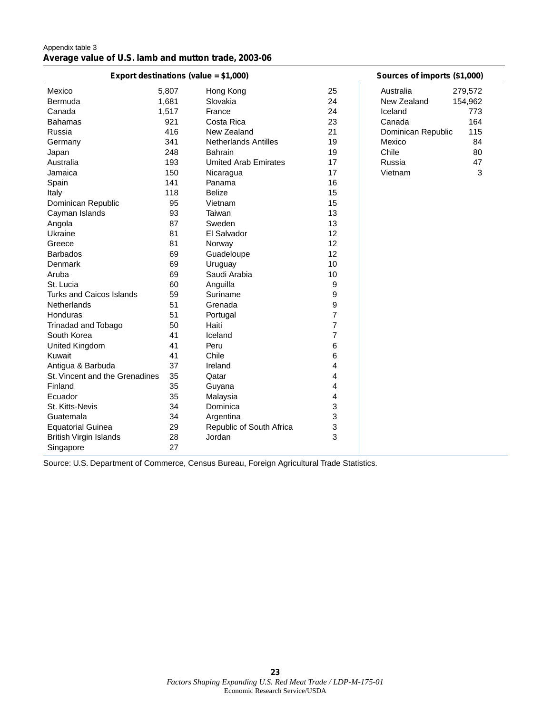| Appendix table 3                                     |  |  |
|------------------------------------------------------|--|--|
| Average value of U.S. lamb and mutton trade, 2003-06 |  |  |

| Export destinations (value = \$1,000) |       |                             |                | Sources of imports (\$1,000) |
|---------------------------------------|-------|-----------------------------|----------------|------------------------------|
| Mexico                                | 5,807 | Hong Kong                   | 25             | Australia<br>279,572         |
| Bermuda                               | 1,681 | Slovakia                    | 24             | New Zealand<br>154,962       |
| Canada                                | 1,517 | France                      | 24             | Iceland<br>773               |
| <b>Bahamas</b>                        | 921   | Costa Rica                  | 23             | 164<br>Canada                |
| Russia                                | 416   | New Zealand                 | 21             | Dominican Republic<br>115    |
| Germany                               | 341   | <b>Netherlands Antilles</b> | 19             | 84<br>Mexico                 |
| Japan                                 | 248   | <b>Bahrain</b>              | 19             | Chile<br>80                  |
| Australia                             | 193   | <b>Umited Arab Emirates</b> | 17             | 47<br>Russia                 |
| Jamaica                               | 150   | Nicaragua                   | 17             | Vietnam<br>3                 |
| Spain                                 | 141   | Panama                      | 16             |                              |
| Italy                                 | 118   | <b>Belize</b>               | 15             |                              |
| Dominican Republic                    | 95    | Vietnam                     | 15             |                              |
| Cayman Islands                        | 93    | Taiwan                      | 13             |                              |
| Angola                                | 87    | Sweden                      | 13             |                              |
| Ukraine                               | 81    | El Salvador                 | 12             |                              |
| Greece                                | 81    | Norway                      | 12             |                              |
| <b>Barbados</b>                       | 69    | Guadeloupe                  | 12             |                              |
| Denmark                               | 69    | Uruguay                     | 10             |                              |
| Aruba                                 | 69    | Saudi Arabia                | 10             |                              |
| St. Lucia                             | 60    | Anguilla                    | 9              |                              |
| <b>Turks and Caicos Islands</b>       | 59    | Suriname                    | 9              |                              |
| <b>Netherlands</b>                    | 51    | Grenada                     | 9              |                              |
| Honduras                              | 51    | Portugal                    | 7              |                              |
| Trinadad and Tobago                   | 50    | Haiti                       | $\overline{7}$ |                              |
| South Korea                           | 41    | Iceland                     | 7              |                              |
| United Kingdom                        | 41    | Peru                        | 6              |                              |
| Kuwait                                | 41    | Chile                       | 6              |                              |
| Antigua & Barbuda                     | 37    | Ireland                     | 4              |                              |
| St. Vincent and the Grenadines        | 35    | Qatar                       | 4              |                              |
| Finland                               | 35    | Guyana                      | 4              |                              |
| Ecuador                               | 35    | Malaysia                    | 4              |                              |
| St. Kitts-Nevis                       | 34    | Dominica                    | 3              |                              |
| Guatemala                             | 34    | Argentina                   | 3              |                              |
| <b>Equatorial Guinea</b>              | 29    | Republic of South Africa    | 3              |                              |
| <b>British Virgin Islands</b>         | 28    | Jordan                      | 3              |                              |
| Singapore                             | 27    |                             |                |                              |